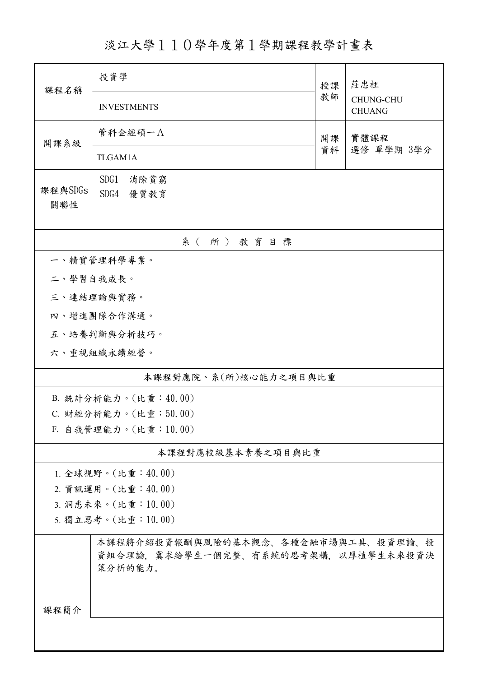淡江大學110學年度第1學期課程教學計畫表

| 課程名稱                                     | 投資學                                                                                   | 授課       | 莊忠柱                               |  |  |  |  |
|------------------------------------------|---------------------------------------------------------------------------------------|----------|-----------------------------------|--|--|--|--|
|                                          | <b>INVESTMENTS</b>                                                                    | 教師       | <b>CHUNG-CHU</b><br><b>CHUANG</b> |  |  |  |  |
| 開課系級                                     | 管科企經碩一A                                                                               | 開課<br>資料 | 實體課程                              |  |  |  |  |
|                                          | TLGAM1A                                                                               |          | 選修 單學期 3學分                        |  |  |  |  |
| 課程與SDGs<br>關聯性                           | SDG1<br>消除貧窮<br>SDG4<br>優質教育                                                          |          |                                   |  |  |  |  |
|                                          |                                                                                       |          |                                   |  |  |  |  |
| 系(所)教育目標<br>一、精實管理科學專業。                  |                                                                                       |          |                                   |  |  |  |  |
| 二、學習自我成長。                                |                                                                                       |          |                                   |  |  |  |  |
|                                          | 三、連結理論與實務。                                                                            |          |                                   |  |  |  |  |
|                                          | 四、增進團隊合作溝通。                                                                           |          |                                   |  |  |  |  |
|                                          | 五、培養判斷與分析技巧。                                                                          |          |                                   |  |  |  |  |
|                                          | 六、重視組織永續經營。                                                                           |          |                                   |  |  |  |  |
| 本課程對應院、系(所)核心能力之項目與比重                    |                                                                                       |          |                                   |  |  |  |  |
|                                          | B. 統計分析能力。(比重:40.00)                                                                  |          |                                   |  |  |  |  |
| C. 財經分析能力。(比重:50.00)                     |                                                                                       |          |                                   |  |  |  |  |
| F. 自我管理能力。(比重:10.00)                     |                                                                                       |          |                                   |  |  |  |  |
|                                          | 本課程對應校級基本素養之項目與比重                                                                     |          |                                   |  |  |  |  |
| 1. 全球視野。(比重: 40.00)                      |                                                                                       |          |                                   |  |  |  |  |
| 2. 資訊運用。(比重:40.00)                       |                                                                                       |          |                                   |  |  |  |  |
| 3. 洞悉未來。(比重:10.00)<br>5. 獨立思考。(比重:10.00) |                                                                                       |          |                                   |  |  |  |  |
|                                          |                                                                                       |          |                                   |  |  |  |  |
|                                          | 本課程將介紹投資報酬與風險的基本觀念、各種金融市場與工具、投資理論、投<br>資組合理論,冀求給學生一個完整、有系統的思考架構,以厚植學生未來投資決<br>策分析的能力。 |          |                                   |  |  |  |  |
| 課程簡介                                     |                                                                                       |          |                                   |  |  |  |  |
|                                          |                                                                                       |          |                                   |  |  |  |  |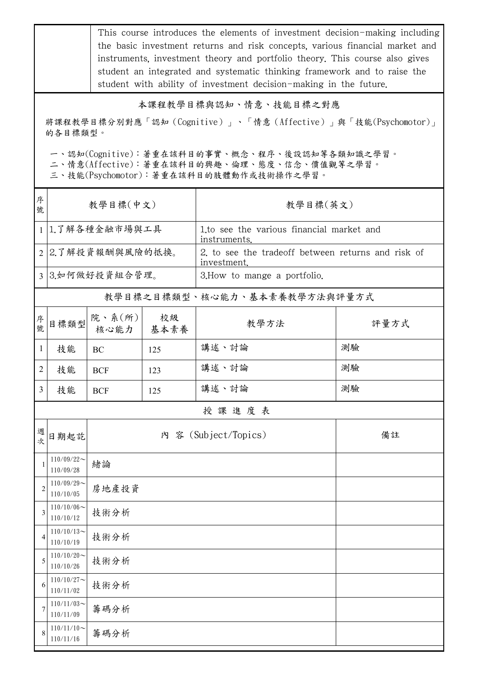This course introduces the elements of investment decision-making including the basic investment returns and risk concepts, various financial market and instruments, investment theory and portfolio theory. This course also gives student an integrated and systematic thinking framework and to raise the student with ability of investment decision-making in the future.

## 本課程教學目標與認知、情意、技能目標之對應

將課程教學目標分別對應「認知(Cognitive)」、「情意(Affective)」與「技能(Psychomotor)」 的各目標類型。

一、認知(Cognitive):著重在該科目的事實、概念、程序、後設認知等各類知識之學習。

二、情意(Affective):著重在該科目的興趣、倫理、態度、信念、價值觀等之學習。

三、技能(Psychomotor):著重在該科目的肢體動作或技術操作之學習。

| 序<br>號                       | 教學目標(中文)                      |                          |            | 教學目標(英文)                                                          |      |  |  |
|------------------------------|-------------------------------|--------------------------|------------|-------------------------------------------------------------------|------|--|--|
|                              | 1 1.了解各種金融市場與工具               |                          |            | 1.to see the various financial market and<br>instruments.         |      |  |  |
|                              | 2 2.了解投資報酬與風險的抵換。             |                          |            | 2, to see the tradeoff between returns and risk of<br>investment. |      |  |  |
|                              | 3 3.如何做好投資組合管理。               |                          |            | 3. How to mange a portfolio.                                      |      |  |  |
| 教學目標之目標類型、核心能力、基本素養教學方法與評量方式 |                               |                          |            |                                                                   |      |  |  |
| 序號                           | 目標類型                          | 院、系 $(\text{m})$<br>核心能力 | 校級<br>基本素養 | 教學方法                                                              | 評量方式 |  |  |
| $\mathbf{1}$                 | 技能                            | <b>BC</b>                | 125        | 講述、討論                                                             | 測驗   |  |  |
| 2                            | 技能                            | <b>BCF</b>               | 123        | 講述、討論                                                             | 測驗   |  |  |
| 3                            | 技能                            | <b>BCF</b>               | 125        | 講述、討論                                                             | 測驗   |  |  |
|                              | 授課進度表                         |                          |            |                                                                   |      |  |  |
| 週次                           | 日期起訖                          |                          |            | 內 容 (Subject/Topics)                                              | 備註   |  |  |
| $\overline{1}$               | $110/09/22$ ~<br>110/09/28    | 緒論                       |            |                                                                   |      |  |  |
| $\overline{2}$               | $110/09/29$ ~<br>110/10/05    | 房地產投資                    |            |                                                                   |      |  |  |
| 3                            | $110/10/06 \sim$<br>110/10/12 | 技術分析                     |            |                                                                   |      |  |  |
| 4                            | $110/10/13$ ~<br>110/10/19    | 技術分析                     |            |                                                                   |      |  |  |
| 5                            | $110/10/20$ ~<br>110/10/26    | 技術分析                     |            |                                                                   |      |  |  |
| 6                            | $110/10/27$ ~<br>110/11/02    | 技術分析                     |            |                                                                   |      |  |  |
| 7                            | $110/11/03$ ~<br>110/11/09    | 籌碼分析                     |            |                                                                   |      |  |  |
| 8                            | $110/11/10$ ~<br>110/11/16    | 籌碼分析                     |            |                                                                   |      |  |  |